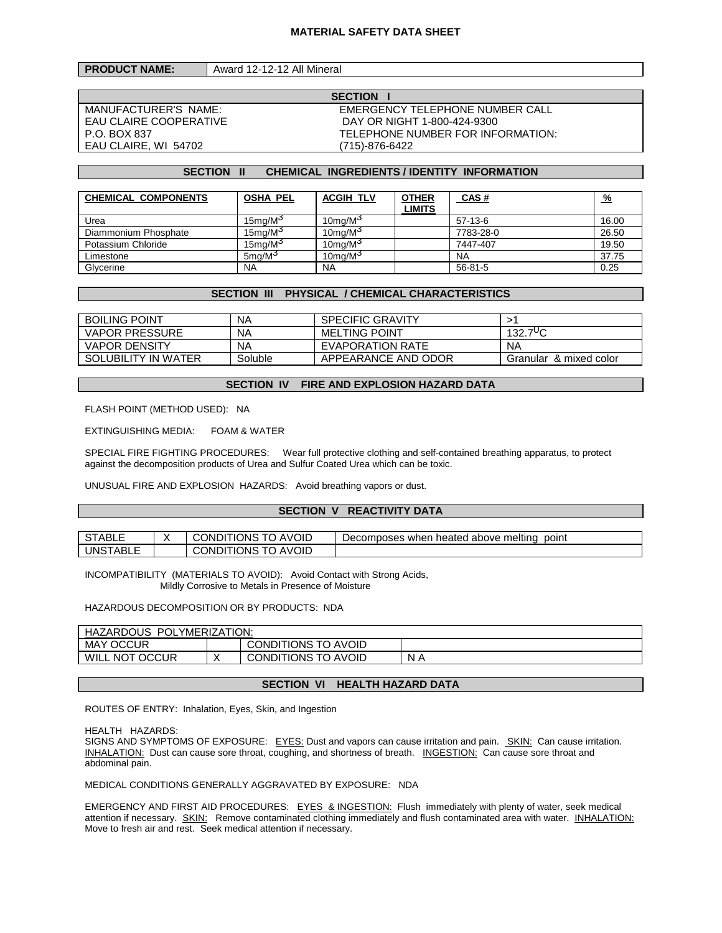| <b>PRODUCT NAME:</b> | Award 12-12-12 All Mineral |
|----------------------|----------------------------|
|----------------------|----------------------------|

EAU CLAIRE COOPERATIVE<br>P.O. BOX 837 EAU CLAIRE, WI 54702 (715)-876-6422

**SECTION I** MANUFACTURER'S NAME: EMERGENCY TELEPHONE NUMBER CALL TELEPHONE NUMBER FOR INFORMATION:

#### **SECTION II CHEMICAL INGREDIENTS / IDENTITY INFORMATION**

| <b>CHEMICAL COMPONENTS</b> | <b>OSHA PEL</b>        | <b>ACGIH TLV</b>       | <b>OTHER</b>  | <b>CAS#</b>   | <u>%</u> |
|----------------------------|------------------------|------------------------|---------------|---------------|----------|
|                            |                        |                        | <b>LIMITS</b> |               |          |
| Urea                       | $15$ ma/M <sup>3</sup> | $10$ ma/M <sup>3</sup> |               | $57-13-6$     | 16.00    |
| Diammonium Phosphate       | 15mg/M <sup>3</sup>    | 10mg/ $M3$             |               | 7783-28-0     | 26.50    |
| Potassium Chloride         | $15$ ma/M $3$          | $10$ mg/M $3$          |               | 7447-407      | 19.50    |
| Limestone                  | $5$ ma/M <sup>3</sup>  | $10$ ma/M $3$          |               | <b>NA</b>     | 37.75    |
| Glycerine                  | <b>NA</b>              | <b>NA</b>              |               | $56 - 81 - 5$ | 0.25     |

#### **SECTION III PHYSICAL / CHEMICAL CHARACTERISTICS**

| <b>BOILING POINT</b>  | NA      | <b>SPECIFIC GRAVITY</b> |                        |
|-----------------------|---------|-------------------------|------------------------|
| <b>VAPOR PRESSURE</b> | NA      | <b>MELTING POINT</b>    | $132.7^{\circ}C$       |
| <b>VAPOR DENSITY</b>  | NA      | EVAPORATION RATE        | NA                     |
| SOLUBILITY IN WATER   | Soluble | APPEARANCE AND ODOR     | Granular & mixed color |

#### **SECTION IV FIRE AND EXPLOSION HAZARD DATA**

FLASH POINT (METHOD USED): NA

EXTINGUISHING MEDIA: FOAM & WATER

SPECIAL FIRE FIGHTING PROCEDURES: Wear full protective clothing and self-contained breathing apparatus, to protect against the decomposition products of Urea and Sulfur Coated Urea which can be toxic.

UNUSUAL FIRE AND EXPLOSION HAZARDS: Avoid breathing vapors or dust.

# **SECTION V REACTIVITY DATA**

| <b>STARLE</b><br>¬ש∟<br>ີ   | <b>AVOID</b><br>TIONS<br>CONDI <sup>-</sup><br>ີ | point<br>meltina<br><b>Decomposes</b><br>when<br>heated above<br>. . |
|-----------------------------|--------------------------------------------------|----------------------------------------------------------------------|
| UNS.<br>` <sup>⊤</sup> ABL∟ | <b>AVOID</b><br>TIONS<br>CONDI <sup>-</sup>      |                                                                      |

INCOMPATIBILITY (MATERIALS TO AVOID): Avoid Contact with Strong Acids, Mildly Corrosive to Metals in Presence of Moisture

HAZARDOUS DECOMPOSITION OR BY PRODUCTS: NDA

| YMERIZATION:<br><b>HAZARDOUS</b><br>` POL, |  |                            |     |  |
|--------------------------------------------|--|----------------------------|-----|--|
| <b>MAY OCCUR</b>                           |  | <b>CONDITIONS TO AVOID</b> |     |  |
| <b>NOT OCCUR</b><br>WILL                   |  | CONDITIONS TO AVOID        | N A |  |

#### **SECTION VI HEALTH HAZARD DATA**

ROUTES OF ENTRY: Inhalation, Eyes, Skin, and Ingestion

HEALTH HAZARDS:

SIGNS AND SYMPTOMS OF EXPOSURE: EYES: Dust and vapors can cause irritation and pain. SKIN: Can cause irritation. INHALATION: Dust can cause sore throat, coughing, and shortness of breath. INGESTION: Can cause sore throat and abdominal pain.

MEDICAL CONDITIONS GENERALLY AGGRAVATED BY EXPOSURE: NDA

EMERGENCY AND FIRST AID PROCEDURES: EYES & INGESTION: Flush immediately with plenty of water, seek medical attention if necessary. SKIN: Remove contaminated clothing immediately and flush contaminated area with water. INHALATION: Move to fresh air and rest. Seek medical attention if necessary.